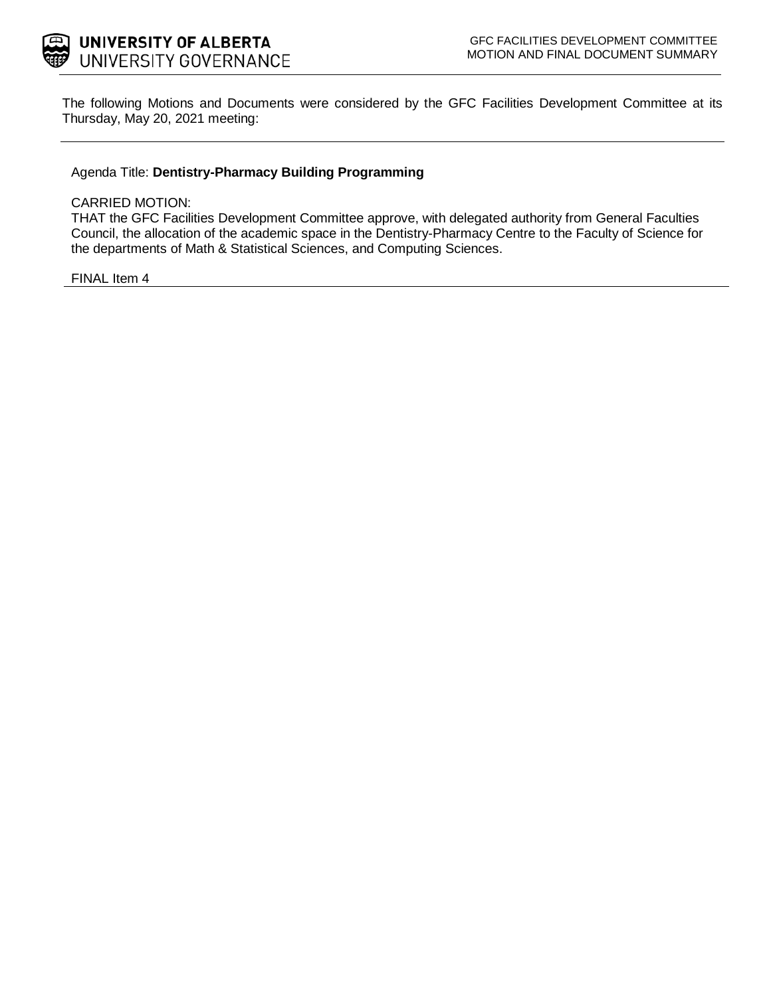

The following Motions and Documents were considered by the GFC Facilities Development Committee at its Thursday, May 20, 2021 meeting:

### Agenda Title: **Dentistry-Pharmacy Building Programming**

#### CARRIED MOTION:

THAT the GFC Facilities Development Committee approve, with delegated authority from General Faculties Council, the allocation of the academic space in the Dentistry-Pharmacy Centre to the Faculty of Science for the departments of Math & Statistical Sciences, and Computing Sciences.

FINAL Item 4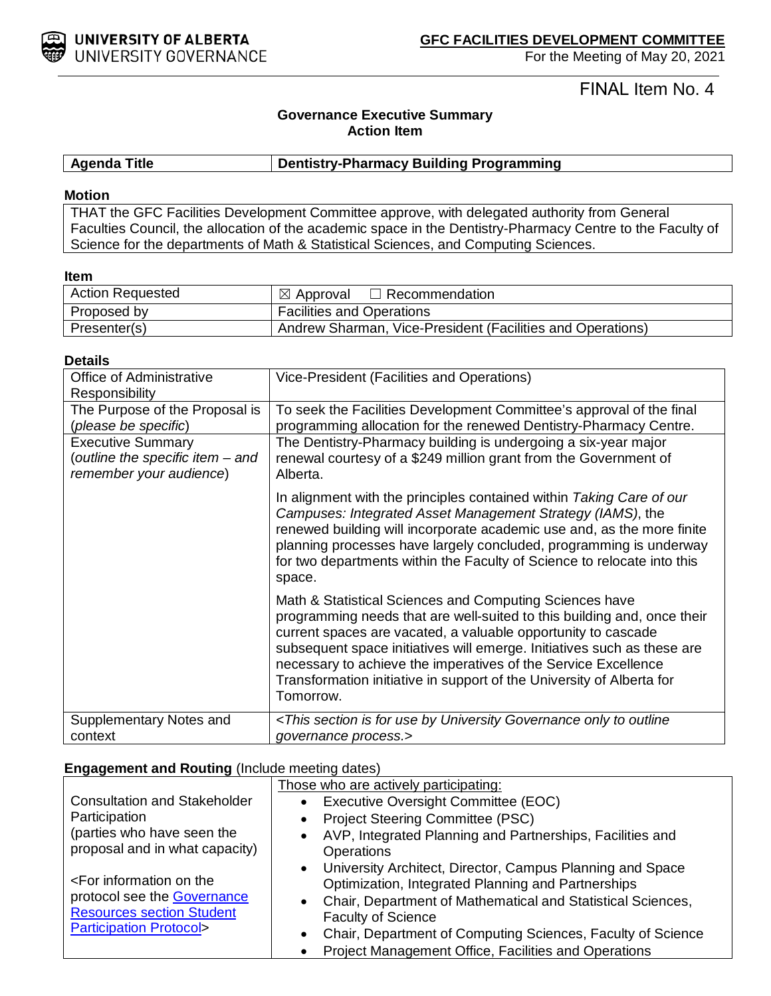

For the Meeting of May 20, 2021

FINAL Item No. 4

# **Governance Executive Summary Action Item**

### **Agenda Title Dentistry-Pharmacy Building Programming**

#### **Motion**

THAT the GFC Facilities Development Committee approve, with delegated authority from General Faculties Council, the allocation of the academic space in the Dentistry-Pharmacy Centre to the Faculty of Science for the departments of Math & Statistical Sciences, and Computing Sciences.

#### **Item**

| <b>Action Requested</b> | $\boxtimes$ Approval<br>$\Box$ Recommendation              |
|-------------------------|------------------------------------------------------------|
| Proposed by             | <b>Facilities and Operations</b>                           |
| Presenter(s)            | Andrew Sharman, Vice-President (Facilities and Operations) |

#### **Details**

| Office of Administrative<br><b>Responsibility</b> | Vice-President (Facilities and Operations)                                                                                                                                                                                                                                                                                                                                                                                             |  |
|---------------------------------------------------|----------------------------------------------------------------------------------------------------------------------------------------------------------------------------------------------------------------------------------------------------------------------------------------------------------------------------------------------------------------------------------------------------------------------------------------|--|
| The Purpose of the Proposal is                    | To seek the Facilities Development Committee's approval of the final                                                                                                                                                                                                                                                                                                                                                                   |  |
| (please be specific)                              | programming allocation for the renewed Dentistry-Pharmacy Centre.                                                                                                                                                                                                                                                                                                                                                                      |  |
| <b>Executive Summary</b>                          | The Dentistry-Pharmacy building is undergoing a six-year major                                                                                                                                                                                                                                                                                                                                                                         |  |
| (outline the specific item - and                  | renewal courtesy of a \$249 million grant from the Government of                                                                                                                                                                                                                                                                                                                                                                       |  |
| remember your audience)                           | Alberta.                                                                                                                                                                                                                                                                                                                                                                                                                               |  |
|                                                   | In alignment with the principles contained within Taking Care of our<br>Campuses: Integrated Asset Management Strategy (IAMS), the<br>renewed building will incorporate academic use and, as the more finite<br>planning processes have largely concluded, programming is underway<br>for two departments within the Faculty of Science to relocate into this<br>space.                                                                |  |
|                                                   | Math & Statistical Sciences and Computing Sciences have<br>programming needs that are well-suited to this building and, once their<br>current spaces are vacated, a valuable opportunity to cascade<br>subsequent space initiatives will emerge. Initiatives such as these are<br>necessary to achieve the imperatives of the Service Excellence<br>Transformation initiative in support of the University of Alberta for<br>Tomorrow. |  |
| Supplementary Notes and                           | <this by="" for="" governance="" is="" only="" outline<="" section="" td="" to="" university="" use=""></this>                                                                                                                                                                                                                                                                                                                         |  |
| context                                           | governance process.>                                                                                                                                                                                                                                                                                                                                                                                                                   |  |

#### **Engagement and Routing** (Include meeting dates)

|                                                                       | Those who are actively participating:                                                                                                                                                         |  |  |
|-----------------------------------------------------------------------|-----------------------------------------------------------------------------------------------------------------------------------------------------------------------------------------------|--|--|
| <b>Consultation and Stakeholder</b>                                   | • Executive Oversight Committee (EOC)                                                                                                                                                         |  |  |
| Participation                                                         | <b>Project Steering Committee (PSC)</b><br>$\bullet$                                                                                                                                          |  |  |
| (parties who have seen the<br>proposal and in what capacity)          | AVP, Integrated Planning and Partnerships, Facilities and<br>$\bullet$<br><b>Operations</b>                                                                                                   |  |  |
| <for information="" on="" the<br="">protocol see the Governance</for> | • University Architect, Director, Campus Planning and Space<br>Optimization, Integrated Planning and Partnerships<br>Chair, Department of Mathematical and Statistical Sciences,<br>$\bullet$ |  |  |
| <b>Resources section Student</b><br><b>Participation Protocol&gt;</b> | <b>Faculty of Science</b>                                                                                                                                                                     |  |  |
|                                                                       | Chair, Department of Computing Sciences, Faculty of Science<br>$\bullet$                                                                                                                      |  |  |
|                                                                       | Project Management Office, Facilities and Operations                                                                                                                                          |  |  |